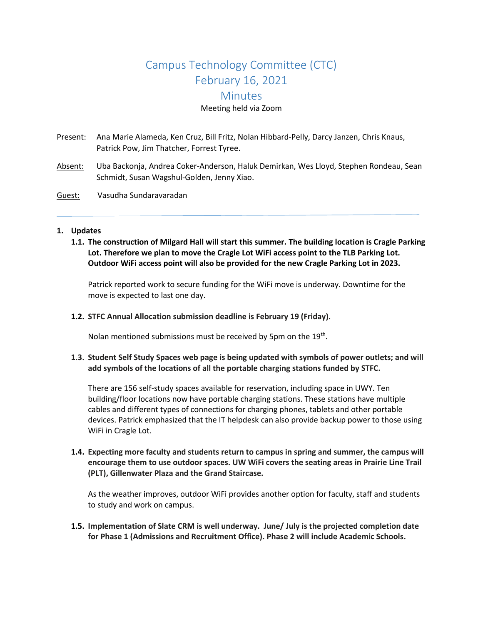# Campus Technology Committee (CTC) February 16, 2021 **Minutes** Meeting held via Zoom

Present: Ana Marie Alameda, Ken Cruz, Bill Fritz, Nolan Hibbard-Pelly, Darcy Janzen, Chris Knaus, Patrick Pow, Jim Thatcher, Forrest Tyree.

- Absent: Uba Backonja, Andrea Coker-Anderson, Haluk Demirkan, Wes Lloyd, Stephen Rondeau, Sean Schmidt, Susan Wagshul-Golden, Jenny Xiao.
- Guest: Vasudha Sundaravaradan

#### **1. Updates**

**1.1. The construction of Milgard Hall will start this summer. The building location is Cragle Parking Lot. Therefore we plan to move the Cragle Lot WiFi access point to the TLB Parking Lot. Outdoor WiFi access point will also be provided for the new Cragle Parking Lot in 2023.**

Patrick reported work to secure funding for the WiFi move is underway. Downtime for the move is expected to last one day.

**1.2. STFC Annual Allocation submission deadline is February 19 (Friday).**

Nolan mentioned submissions must be received by 5pm on the 19<sup>th</sup>.

## **1.3. Student Self Study Spaces web page is being updated with symbols of power outlets; and will add symbols of the locations of all the portable charging stations funded by STFC.**

There are 156 self-study spaces available for reservation, including space in UWY. Ten building/floor locations now have portable charging stations. These stations have multiple cables and different types of connections for charging phones, tablets and other portable devices. Patrick emphasized that the IT helpdesk can also provide backup power to those using WiFi in Cragle Lot.

**1.4. Expecting more faculty and students return to campus in spring and summer, the campus will encourage them to use outdoor spaces. UW WiFi covers the seating areas in Prairie Line Trail (PLT), Gillenwater Plaza and the Grand Staircase.**

As the weather improves, outdoor WiFi provides another option for faculty, staff and students to study and work on campus.

**1.5. Implementation of Slate CRM is well underway. June/ July is the projected completion date for Phase 1 (Admissions and Recruitment Office). Phase 2 will include Academic Schools.**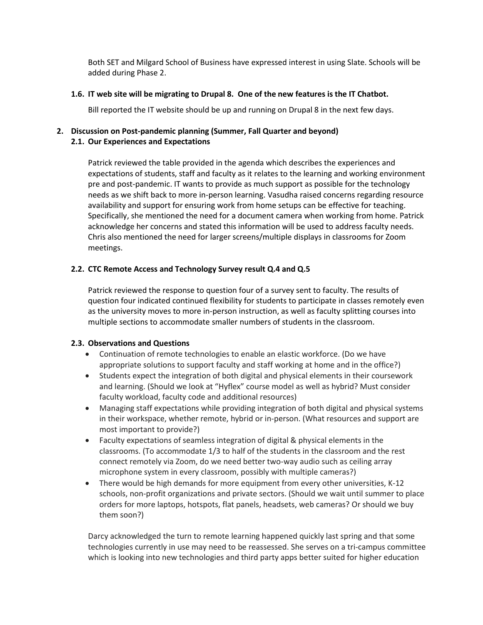Both SET and Milgard School of Business have expressed interest in using Slate. Schools will be added during Phase 2.

#### **1.6. IT web site will be migrating to Drupal 8. One of the new features is the IT Chatbot.**

Bill reported the IT website should be up and running on Drupal 8 in the next few days.

## **2. Discussion on Post-pandemic planning (Summer, Fall Quarter and beyond) 2.1. Our Experiences and Expectations**

Patrick reviewed the table provided in the agenda which describes the experiences and expectations of students, staff and faculty as it relates to the learning and working environment pre and post-pandemic. IT wants to provide as much support as possible for the technology needs as we shift back to more in-person learning. Vasudha raised concerns regarding resource availability and support for ensuring work from home setups can be effective for teaching. Specifically, she mentioned the need for a document camera when working from home. Patrick acknowledge her concerns and stated this information will be used to address faculty needs. Chris also mentioned the need for larger screens/multiple displays in classrooms for Zoom meetings.

## **2.2. CTC Remote Access and Technology Survey result Q.4 and Q.5**

Patrick reviewed the response to question four of a survey sent to faculty. The results of question four indicated continued flexibility for students to participate in classes remotely even as the university moves to more in-person instruction, as well as faculty splitting courses into multiple sections to accommodate smaller numbers of students in the classroom.

## **2.3. Observations and Questions**

- Continuation of remote technologies to enable an elastic workforce. (Do we have appropriate solutions to support faculty and staff working at home and in the office?)
- Students expect the integration of both digital and physical elements in their coursework and learning. (Should we look at "Hyflex" course model as well as hybrid? Must consider faculty workload, faculty code and additional resources)
- Managing staff expectations while providing integration of both digital and physical systems in their workspace, whether remote, hybrid or in-person. (What resources and support are most important to provide?)
- Faculty expectations of seamless integration of digital & physical elements in the classrooms. (To accommodate 1/3 to half of the students in the classroom and the rest connect remotely via Zoom, do we need better two-way audio such as ceiling array microphone system in every classroom, possibly with multiple cameras?)
- There would be high demands for more equipment from every other universities, K-12 schools, non-profit organizations and private sectors. (Should we wait until summer to place orders for more laptops, hotspots, flat panels, headsets, web cameras? Or should we buy them soon?)

Darcy acknowledged the turn to remote learning happened quickly last spring and that some technologies currently in use may need to be reassessed. She serves on a tri-campus committee which is looking into new technologies and third party apps better suited for higher education